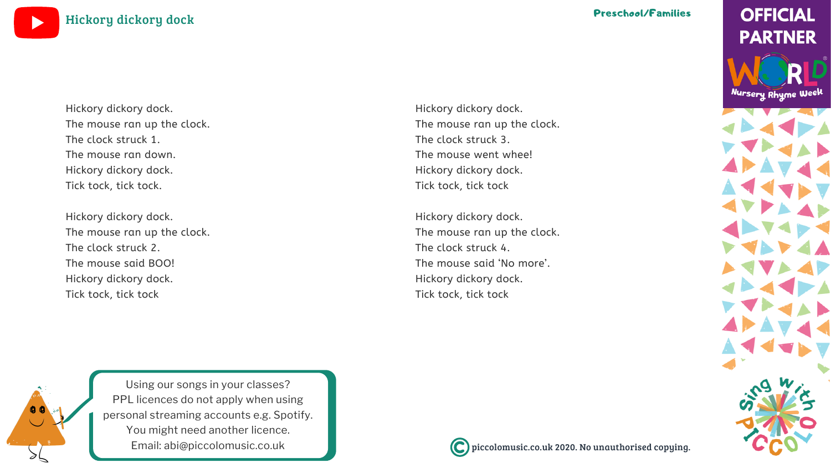piccolomusic.co.uk 2020. No unauthorised copying.

Using our songs in your [classes?](https://bit.ly/LicensingYOUTUBE) PPL licences do not apply when using personal [streaming](https://bit.ly/LicensingYOUTUBE) accounts e.g. Spotify. You might need [another](https://bit.ly/LicensingYOUTUBE) licence. Email: [abi@piccolomusic.co.uk](https://bit.ly/LicensingYOUTUBE)



[Hickory](https://bit.ly/WNRW2020YOUTUBE) dickory dock



### Preschool/Families

**OFFICIAL PARTNER** 

Nursery Rhyme Week



Hickory dickory dock. The mouse ran up the clock. The clock struck 3. The mouse went whee! Hickory dickory dock. Tick tock, tick tock

Hickory dickory dock. The mouse ran up the clock. The clock struck 4. The mouse said 'No more'. Hickory dickory dock. Tick tock, tick tock



Hickory dickory dock. The mouse ran up the clock. The clock struck 1. The mouse ran down. Hickory dickory dock. Tick tock, tick tock.

Hickory dickory dock. The mouse ran up the clock. The clock struck 2. The mouse said BOO! Hickory dickory dock. Tick tock, tick tock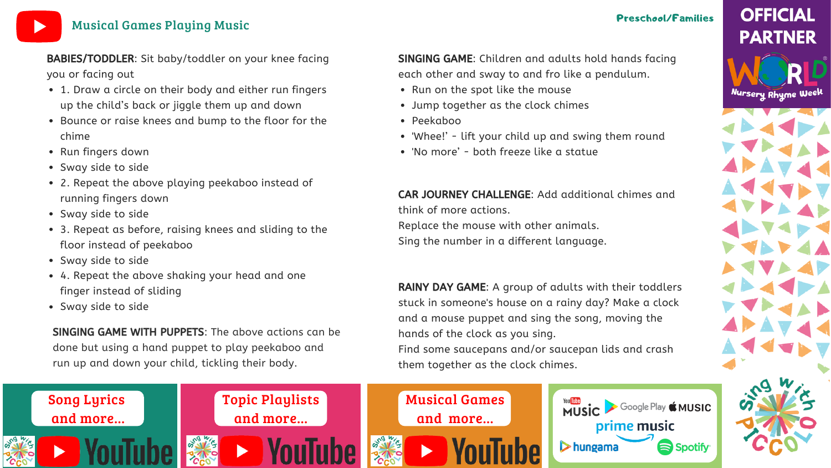



## [Musical](https://bit.ly/MusicalactivitiesYOUTUBE) Games Playing Music

### Preschool/Families

- 1. Draw a circle on their body and either run fingers up the child's back or jiggle them up and down
- Bounce or raise knees and bump to the floor for the chime
- Run fingers down
- Sway side to side
- 2. Repeat the above playing peekaboo instead of running fingers down
- Sway side to side
- 3. Repeat as before, raising knees and sliding to the floor instead of peekaboo
- Sway side to side
- 4. Repeat the above shaking your head and one finger instead of sliding
- Sway side to side
- Run on the spot like the mouse
- Jump together as the clock chimes
- Peekaboo
- 
- 'No more' both freeze like a statue

BABIES/TODDLER: Sit baby/toddler on your knee facing you or facing out

SINGING GAME WITH PUPPETS: The above actions can be done but using a hand puppet to play peekaboo and run up and down your child, tickling their body.

'Whee!' - lift your child up and swing them round

SINGING GAME: Children and adults hold hands facing each other and sway to and fro like a pendulum.

RAINY DAY GAME: A group of adults with their toddlers stuck in someone's house on a rainy day? Make a clock and a mouse puppet and sing the song, moving the hands of the clock as you sing. Find some saucepans and/or saucepan lids and crash them together as the clock chimes.

CAR JOURNEY CHALLENGE: Add additional chimes and

# **OFFICIAL PARTNER**

Nursery Rhyme Week



think of more actions. Replace the mouse with other animals. Sing the number in a different language.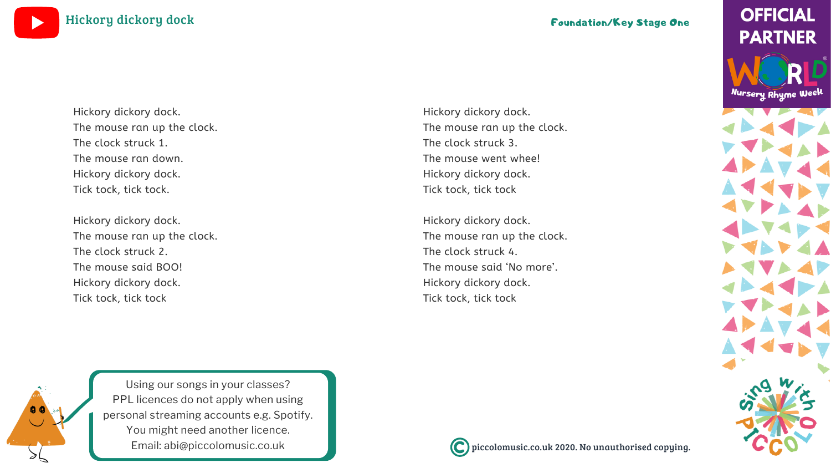### piccolomusic.co.uk 2020. No unauthorised copying.

## **OFFICIAL PARTNER**

Nursery Rhyme Week



Using our songs in your [classes?](https://bit.ly/LicensingYOUTUBE) PPL licences do not apply when using personal [streaming](https://bit.ly/LicensingYOUTUBE) accounts e.g. Spotify. You might need [another](https://bit.ly/LicensingYOUTUBE) licence. Email: [abi@piccolomusic.co.uk](https://bit.ly/LicensingYOUTUBE)







Hickory dickory dock. The mouse ran up the clock. The clock struck 3. The mouse went whee! Hickory dickory dock. Tick tock, tick tock

Hickory dickory dock. The mouse ran up the clock. The clock struck 4. The mouse said 'No more'. Hickory dickory dock. Tick tock, tick tock



Hickory dickory dock. The mouse ran up the clock. The clock struck 1. The mouse ran down. Hickory dickory dock. Tick tock, tick tock.

Hickory dickory dock. The mouse ran up the clock. The clock struck 2. The mouse said BOO! Hickory dickory dock. Tick tock, tick tock